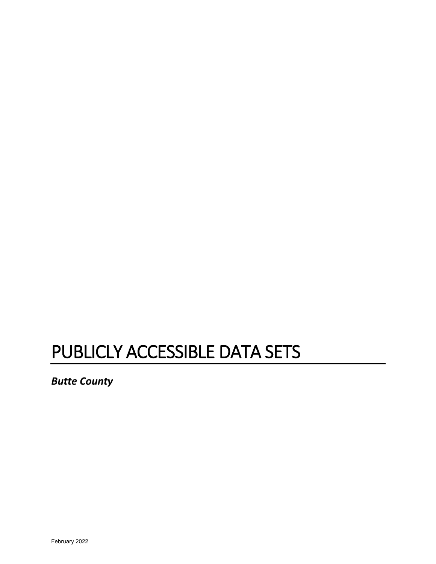# PUBLICLY ACCESSIBLE DATA SETS

*Butte County*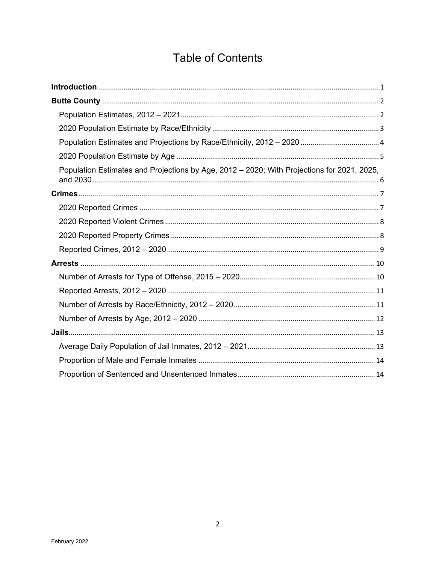# **Table of Contents**

| Population Estimates and Projections by Age, 2012 - 2020; With Projections for 2021, 2025, |
|--------------------------------------------------------------------------------------------|
|                                                                                            |
|                                                                                            |
|                                                                                            |
|                                                                                            |
|                                                                                            |
|                                                                                            |
|                                                                                            |
|                                                                                            |
|                                                                                            |
|                                                                                            |
|                                                                                            |
|                                                                                            |
|                                                                                            |
|                                                                                            |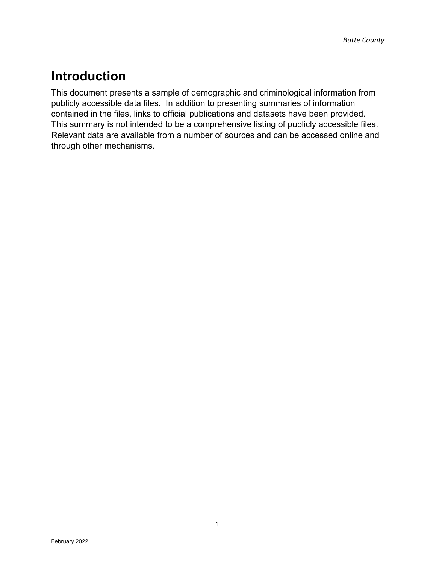# <span id="page-2-0"></span>**Introduction**

This document presents a sample of demographic and criminological information from publicly accessible data files. In addition to presenting summaries of information contained in the files, links to official publications and datasets have been provided. This summary is not intended to be a comprehensive listing of publicly accessible files. Relevant data are available from a number of sources and can be accessed online and through other mechanisms.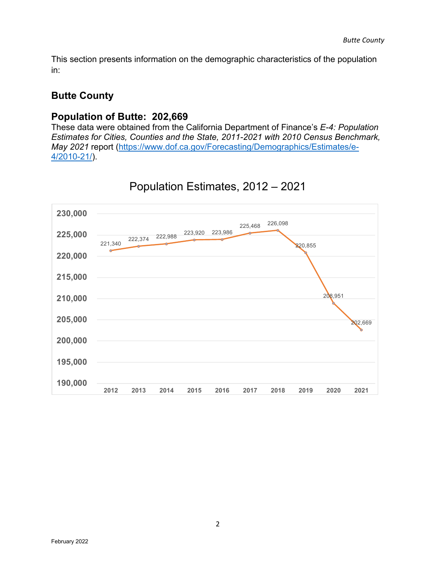This section presents information on the demographic characteristics of the population in:

#### <span id="page-3-0"></span>**Butte County**

#### **Population of Butte: 202,669**

These data were obtained from the California Department of Finance's *E-4: Population Estimates for Cities, Counties and the State, 2011-2021 with 2010 Census Benchmark, May 2021* report [\(https://www.dof.ca.gov/Forecasting/Demographics/Estimates/e-](https://www.dof.ca.gov/Forecasting/Demographics/Estimates/e-4/2010-21/)[4/2010-21/\)](https://www.dof.ca.gov/Forecasting/Demographics/Estimates/e-4/2010-21/).

<span id="page-3-1"></span>

### Population Estimates, 2012 – 2021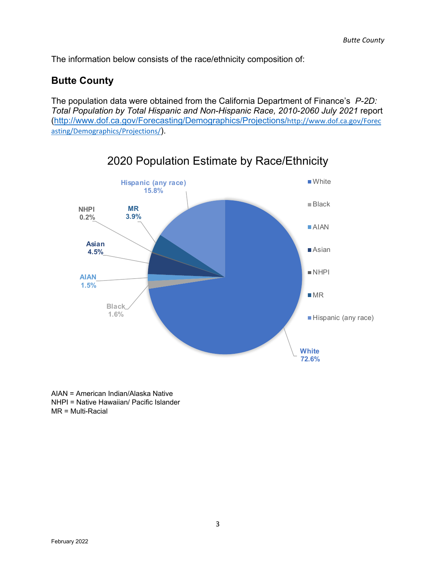The information below consists of the race/ethnicity composition of:

#### **Butte County**

The population data were obtained from the California Department of Finance's *P-2D: Total Population by Total Hispanic and Non-Hispanic Race, 2010-2060 July 2021* report [\(http://www.dof.ca.gov/Forecasting/Demographics/Projections/](http://www.dof.ca.gov/Forecasting/Demographics/Projections/)[http://www.dof.ca.gov/Forec](http://www.dof.ca.gov/Forecasting/Demographics/Projections/) [asting/Demographics/Projections/](http://www.dof.ca.gov/Forecasting/Demographics/Projections/)).

<span id="page-4-0"></span>

### 2020 Population Estimate by Race/Ethnicity

AIAN = American Indian/Alaska Native NHPI = Native Hawaiian/ Pacific Islander MR = Multi-Racial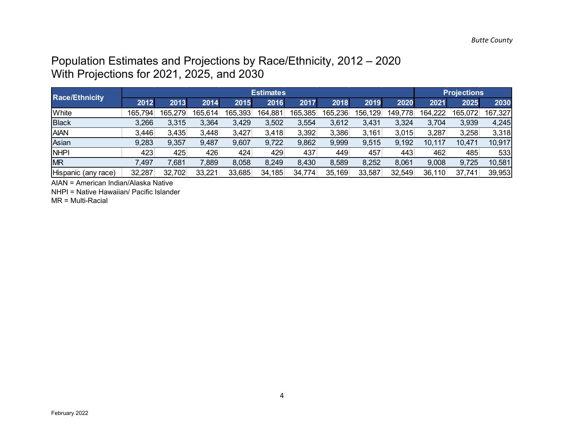### Population Estimates and Projections by Race/Ethnicity, 2012 – 2020 With Projections for 2021, 2025, and 2030

| <b>Race/Ethnicity</b> |         |         | <b>Projections</b> |         |         |         |         |         |         |         |         |         |
|-----------------------|---------|---------|--------------------|---------|---------|---------|---------|---------|---------|---------|---------|---------|
|                       | 2012    | 2013    | 2014               | 2015    | 2016    | 2017    | 2018    | 2019    | 2020    | 2021    | 2025    | 2030    |
| White                 | 165,794 | 165,279 | 165,614            | 165,393 | 164,881 | 165,385 | 165,236 | 156,129 | 149,778 | 164,222 | 165,072 | 167,327 |
| <b>Black</b>          | 3,266   | 3,315   | 3,364              | 3,429   | 3,502   | 3,554   | 3,612   | 3,431   | 3,324   | 3,704   | 3,939   | 4,245   |
| <b>AIAN</b>           | 3,446   | 3,435   | 3,448              | 3,427   | 3,418   | 3,392   | 3,386   | 3,161   | 3,015   | 3,287   | 3,258   | 3,318   |
| Asian                 | 9,283   | 9,357   | 9,487              | 9,607   | 9,722   | 9,862   | 9,999   | 9,515   | 9,192   | 10,117  | 10,471  | 10,917  |
| <b>NHPI</b>           | 423     | 425     | 426                | 424     | 429     | 437     | 449     | 457     | 443     | 462     | 485     | 533     |
| <b>MR</b>             | 7,497   | 7,681   | $^{\prime}$ ,889   | 8,058   | 8,249   | 8,430   | 8,589   | 8,252   | 8,061   | 9,008   | 9,725   | 10,581  |
| Hispanic (any race)   | 32,287  | 32,702  | 33,221             | 33,685  | 34,185  | 34,774  | 35,169  | 33,587  | 32,549  | 36,110  | 37,741  | 39,953  |

<span id="page-5-0"></span>AIAN = American Indian/Alaska Native

NHPI = Native Hawaiian/ Pacific Islander

MR = Multi-Racial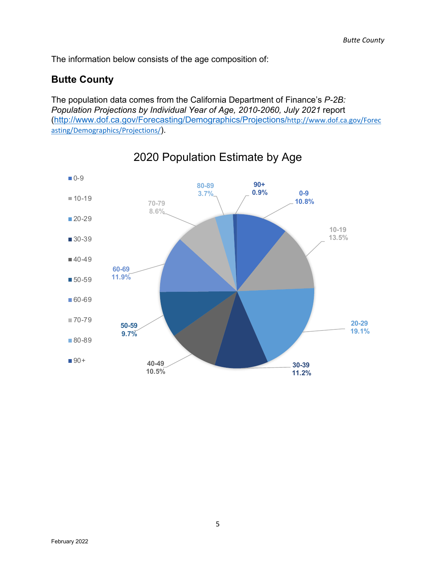The information below consists of the age composition of:

#### **Butte County**

The population data comes from the California Department of Finance's *P-2B: Population Projections by Individual Year of Age, 2010-2060, July 2021* report [\(http://www.dof.ca.gov/Forecasting/Demographics/Projections/](http://www.dof.ca.gov/Forecasting/Demographics/Projections/)[http://www.dof.ca.gov/Forec](http://www.dof.ca.gov/Forecasting/Demographics/Projections/) [asting/Demographics/Projections/](http://www.dof.ca.gov/Forecasting/Demographics/Projections/)).

<span id="page-6-0"></span>

### 2020 Population Estimate by Age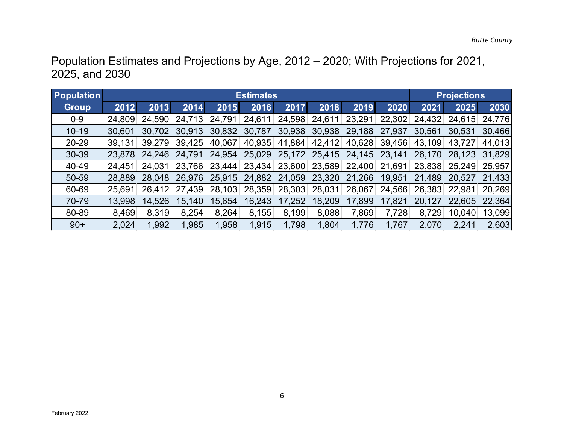Population Estimates and Projections by Age, 2012 – 2020; With Projections for 2021, 2025, and 2030

<span id="page-7-0"></span>

| <b>Population</b> |        |        | <b>Projections</b> |        |        |        |        |        |        |        |        |        |
|-------------------|--------|--------|--------------------|--------|--------|--------|--------|--------|--------|--------|--------|--------|
| <b>Group</b>      | 2012   | 2013   | 2014               | 2015   | 2016   | 2017   | 2018   | 2019   | 2020   | 2021   | 2025   | 2030   |
| $0-9$             | 24,809 | 24.590 | 24,713             | 24.791 | 24,611 | 24,598 | 24,611 | 23,291 | 22,302 | 24,432 | 24,615 | 24,776 |
| $10 - 19$         | 30.601 | 30.702 | 30,913             | 30,832 | 30,787 | 30,938 | 30,938 | 29,188 | 27,937 | 30,561 | 30,531 | 30,466 |
| 20-29             | 39.131 | 39.279 | 39,425             | 40,067 | 40,935 | 41,884 | 42,412 | 40,628 | 39,456 | 43,109 | 43,727 | 44.013 |
| 30-39             | 23.878 | 24.246 | 24.791             | 24,954 | 25,029 | 25,172 | 25,415 | 24,145 | 23,141 | 26,170 | 28,123 | 31,829 |
| 40-49             | 24,451 | 24,031 | 23,766             | 23,444 | 23,434 | 23,600 | 23,589 | 22,400 | 21,691 | 23,838 | 25,249 | 25,957 |
| 50-59             | 28,889 | 28.048 | 26,976             | 25,915 | 24,882 | 24,059 | 23,320 | 21,266 | 19,951 | 21,489 | 20.527 | 21.433 |
| 60-69             | 25,691 | 26.412 | 27,439             | 28,103 | 28,359 | 28,303 | 28,031 | 26,067 | 24,566 | 26,383 | 22,981 | 20,269 |
| 70-79             | 13,998 | 14,526 | 15,140             | 15,654 | 16,243 | 17,252 | 18,209 | 17,899 | 17,821 | 20,127 | 22,605 | 22,364 |
| 80-89             | 8,469  | 8,319  | 8,254              | 8,264  | 8,155  | 8,199  | 8,088  | 7,869  | 7,728  | 8,729  | 10,040 | 13,099 |
| $90+$             | 2,024  | .992   | 1,985              | 1,958  | 1,915  | 1,798  | 1,804  | 1,776  | 1,767  | 2,070  | 2,241  | 2,603  |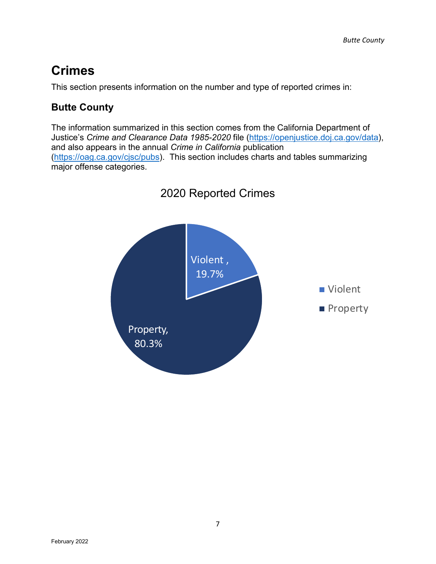# <span id="page-8-0"></span>**Crimes**

This section presents information on the number and type of reported crimes in:

#### **Butte County**

The information summarized in this section comes from the California Department of Justice's *Crime and Clearance Data 1985-2020* file [\(https://openjustice.doj.ca.gov/data\)](https://openjustice.doj.ca.gov/data), and also appears in the annual *Crime in California* publication [\(https://oag.ca.gov/cjsc/pubs\)](https://oag.ca.gov/cjsc/pubs). This section includes charts and tables summarizing major offense categories.

<span id="page-8-1"></span>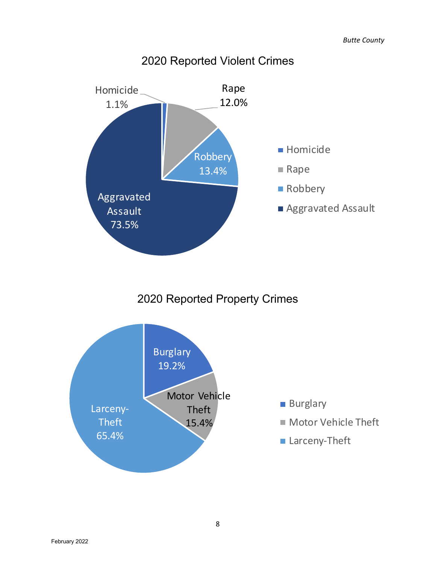<span id="page-9-0"></span>

### 2020 Reported Violent Crimes

2020 Reported Property Crimes

<span id="page-9-1"></span>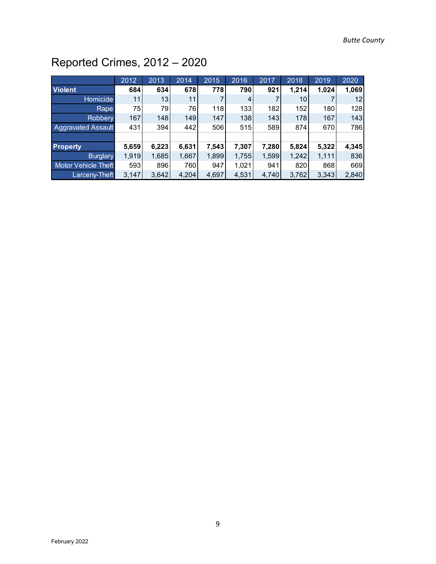# <span id="page-10-0"></span>Reported Crimes, 2012 – 2020

|                            | 2012  | 2013  | 2014  | 2015  | 2016  | 2017  | 2018  | 2019  | 2020  |
|----------------------------|-------|-------|-------|-------|-------|-------|-------|-------|-------|
| <b>Violent</b>             | 684   | 634   | 678   | 778   | 790   | 921   | 1,214 | 1,024 | 1,069 |
| Homicide                   | 11    | 13    | 11    |       | 4     |       | 10    |       | 12    |
| Rape                       | 75    | 79    | 76    | 118   | 133   | 182   | 152   | 180   | 128   |
| Robbery                    | 167   | 148   | 149   | 147   | 138   | 143   | 178   | 167   | 143   |
| <b>Aggravated Assault</b>  | 431   | 394   | 442   | 506   | 515   | 589   | 874   | 670   | 786   |
|                            |       |       |       |       |       |       |       |       |       |
| <b>Property</b>            | 5,659 | 6,223 | 6,631 | 7,543 | 7,307 | 7,280 | 5,824 | 5,322 | 4,345 |
| <b>Burglary</b>            | 1,919 | 1,685 | 1,667 | 1,899 | 1,755 | 1,599 | 1,242 | 1,111 | 836   |
| <b>Motor Vehicle Theft</b> | 593   | 896   | 760   | 947   | 1,021 | 941   | 820   | 868   | 669   |
| Larceny-Theft              | 3,147 | 3,642 | 4,204 | 4,697 | 4,531 | 4,740 | 3,762 | 3,343 | 2,840 |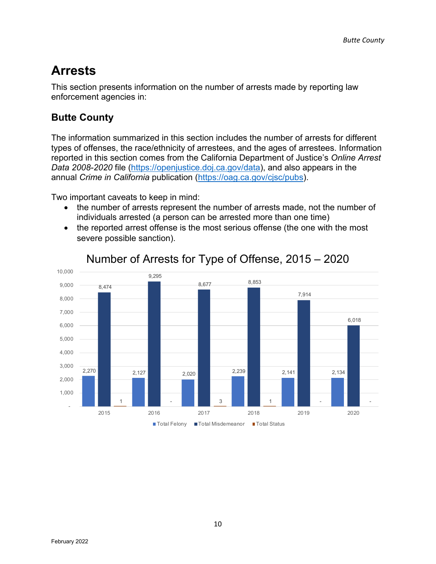# <span id="page-11-0"></span>**Arrests**

This section presents information on the number of arrests made by reporting law enforcement agencies in:

#### **Butte County**

The information summarized in this section includes the number of arrests for different types of offenses, the race/ethnicity of arrestees, and the ages of arrestees. Information reported in this section comes from the California Department of Justice's *Online Arrest Data 2008-2020* file [\(https://openjustice.doj.ca.gov/data\)](https://openjustice.doj.ca.gov/data), and also appears in the annual *Crime in California* publication [\(https://oag.ca.gov/cjsc/pubs\)](https://oag.ca.gov/cjsc/pubs).

Two important caveats to keep in mind:

- the number of arrests represent the number of arrests made, not the number of individuals arrested (a person can be arrested more than one time)
- the reported arrest offense is the most serious offense (the one with the most severe possible sanction).

<span id="page-11-1"></span>

#### Number of Arrests for Type of Offense, 2015 – 2020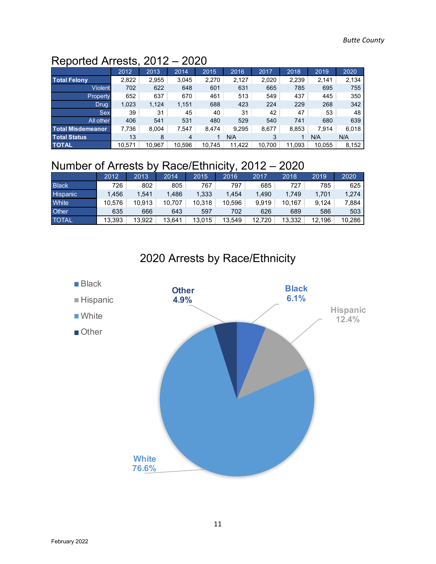### <span id="page-12-0"></span>Reported Arrests, 2012 – 2020

|                          | 2012   | 2013   | 2014   | 2015   | 2016   | 2017   | 2018   | 2019   | 2020  |
|--------------------------|--------|--------|--------|--------|--------|--------|--------|--------|-------|
| <b>Total Felony</b>      | 2,822  | 2,955  | 3,045  | 2,270  | 2,127  | 2,020  | 2,239  | 2,141  | 2,134 |
| <b>Violent</b>           | 702    | 622    | 648    | 601    | 631    | 665    | 785    | 695    | 755   |
| <b>Property</b>          | 652    | 637    | 670    | 461    | 513    | 549    | 437    | 445    | 350   |
| Drug                     | 1,023  | 1,124  | 1,151  | 688    | 423    | 224    | 229    | 268    | 342   |
| <b>Sex</b>               | 39     | 31     | 45     | 40     | 31     | 42     | 47     | 53     | 48    |
| All other                | 406    | 541    | 531    | 480    | 529    | 540    | 741    | 680    | 639   |
| <b>Total Misdemeanor</b> | 7,736  | 8,004  | 7,547  | 8.474  | 9,295  | 8,677  | 8,853  | 7.914  | 6,018 |
| <b>Total Status</b>      | 13     | 8      | 4      |        | N/A    | 3      |        | N/A    | N/A   |
| <b>TOTAL</b>             | 10.571 | 10.967 | 10.596 | 10.745 | 11.422 | 10.700 | 11.093 | 10.055 | 8,152 |

### <span id="page-12-1"></span>Number of Arrests by Race/Ethnicity, 2012 – 2020

|                 | 2012   | 2013   | 2014   | 2015   | 2016   | 2017   | 2018   | 2019   | 2020   |
|-----------------|--------|--------|--------|--------|--------|--------|--------|--------|--------|
| <b>Black</b>    | 726    | 802    | 805    | 767    | 797    | 685    | 727    | 785    | 625    |
| <b>Hispanic</b> | 1.456  | 1.541  | 1.486  | 1,333  | 1.454  | 1.490  | 1.749  | 1.701  | 1,274  |
| <b>White</b>    | 10.576 | 10.913 | 10.707 | 10.318 | 10.596 | 9.919  | 10.167 | 9.124  | 7,884  |
| <b>Other</b>    | 635    | 666    | 643    | 597    | 702    | 626    | 689    | 586    | 503    |
| <b>TOTAL</b>    | 13.393 | 13.922 | 13.641 | 13.015 | 13.549 | 12.720 | 13.332 | 12.196 | 10.286 |



### 2020 Arrests by Race/Ethnicity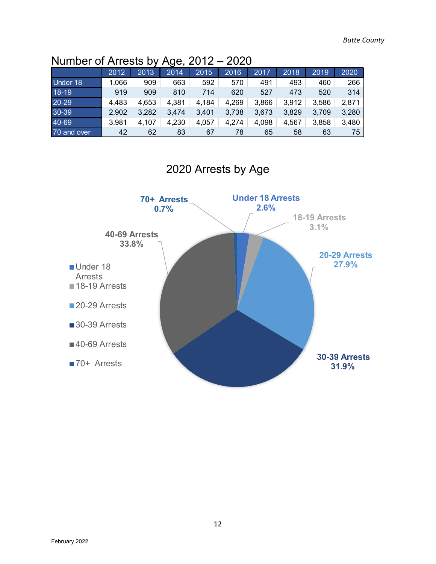### <span id="page-13-0"></span>Number of Arrests by Age, 2012 – 2020

|             |       |       | ີ     |       |       |       |       |       |       |
|-------------|-------|-------|-------|-------|-------|-------|-------|-------|-------|
|             | 2012  | 2013  | 2014  | 2015  | 2016  | 2017  | 2018  | 2019  | 2020  |
| Under 18    | ,066  | 909   | 663   | 592   | 570   | 491   | 493   | 460   | 266   |
| 18-19       | 919   | 909   | 810   | 714   | 620   | 527   | 473   | 520   | 314   |
| 20-29       | 4,483 | 4,653 | 4,381 | 4,184 | 4,269 | 3,866 | 3,912 | 3,586 | 2,871 |
| 30-39       | 2,902 | 3,282 | 3,474 | 3,401 | 3,738 | 3,673 | 3,829 | 3,709 | 3,280 |
| 40-69       | 3,981 | 4,107 | 4,230 | 4,057 | 4,274 | 4,098 | 4,567 | 3,858 | 3,480 |
| 70 and over | 42    | 62    | 83    | 67    | 78    | 65    | 58    | 63    | 75    |



2020 Arrests by Age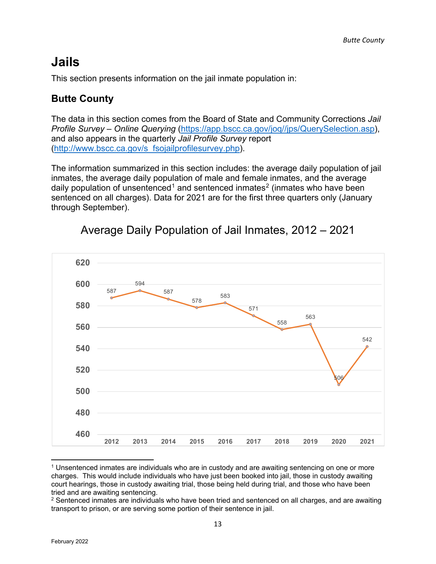# <span id="page-14-0"></span>**Jails**

This section presents information on the jail inmate population in:

#### **Butte County**

The data in this section comes from the Board of State and Community Corrections *Jail Profile Survey – Online Querying* [\(https://app.bscc.ca.gov/joq//jps/QuerySelection.asp\)](https://app.bscc.ca.gov/joq/jps/QuerySelection.asp), and also appears in the quarterly *Jail Profile Survey* report [\(http://www.bscc.ca.gov/s\\_fsojailprofilesurvey.php\)](http://www.bscc.ca.gov/s_fsojailprofilesurvey.php).

The information summarized in this section includes: the average daily population of jail inmates, the average daily population of male and female inmates, and the average daily population of unsentenced<sup>[1](#page-14-2)</sup> and sentenced inmates<sup>[2](#page-14-3)</sup> (inmates who have been sentenced on all charges). Data for 2021 are for the first three quarters only (January through September).

<span id="page-14-1"></span>

### Average Daily Population of Jail Inmates, 2012 – 2021

<span id="page-14-2"></span> $1$  Unsentenced inmates are individuals who are in custody and are awaiting sentencing on one or more charges. This would include individuals who have just been booked into jail, those in custody awaiting court hearings, those in custody awaiting trial, those being held during trial, and those who have been tried and are awaiting sentencing.

<span id="page-14-3"></span> $2$  Sentenced inmates are individuals who have been tried and sentenced on all charges, and are awaiting transport to prison, or are serving some portion of their sentence in jail.